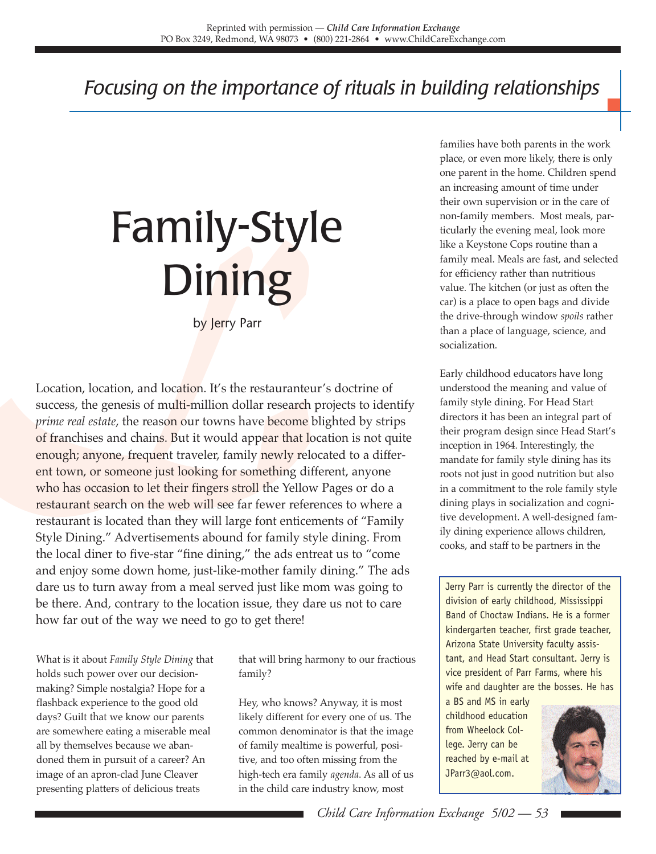## *Focusing on the importance of rituals in building relationships*

## Family-Style **Dining**

by Jerry Parr

**Dining Start Search Contains and location.** It's the restauranteu<br>success, the genesis of multi-million dollar research<br>prime real estate, the reason our towns have become b<br>of franchises and chains. But it would appear t Location, location, and location. It's the restauranteur's doctrine of success, the genesis of multi-million dollar research projects to identify *prime real estate*, the reason our towns have become blighted by strips of franchises and chains. But it would appear that location is not quite enough; anyone, frequent traveler, family newly relocated to a different town, or someone just looking for something different, anyone who has occasion to let their fingers stroll the Yellow Pages or do a restaurant search on the web will see far fewer references to where a restaurant is located than they will large font enticements of "Family Style Dining." Advertisements abound for family style dining. From the local diner to five-star "fine dining," the ads entreat us to "come and enjoy some down home, just-like-mother family dining." The ads dare us to turn away from a meal served just like mom was going to be there. And, contrary to the location issue, they dare us not to care how far out of the way we need to go to get there!

> What is it about *Family Style Dining* that holds such power over our decisionmaking? Simple nostalgia? Hope for a flashback experience to the good old days? Guilt that we know our parents are somewhere eating a miserable meal all by themselves because we abandoned them in pursuit of a career? An image of an apron-clad June Cleaver presenting platters of delicious treats

that will bring harmony to our fractious family?

Hey, who knows? Anyway, it is most likely different for every one of us. The common denominator is that the image of family mealtime is powerful, positive, and too often missing from the high-tech era family *agenda*. As all of us in the child care industry know, most

families have both parents in the work place, or even more likely, there is only one parent in the home. Children spend an increasing amount of time under their own supervision or in the care of non-family members. Most meals, particularly the evening meal, look more like a Keystone Cops routine than a family meal. Meals are fast, and selected for efficiency rather than nutritious value. The kitchen (or just as often the car) is a place to open bags and divide the drive-through window *spoils* rather than a place of language, science, and socialization.

Early childhood educators have long understood the meaning and value of family style dining. For Head Start directors it has been an integral part of their program design since Head Start's inception in 1964. Interestingly, the mandate for family style dining has its roots not just in good nutrition but also in a commitment to the role family style dining plays in socialization and cognitive development. A well-designed family dining experience allows children, cooks, and staff to be partners in the

Jerry Parr is currently the director of the division of early childhood, Mississippi Band of Choctaw Indians. He is a former kindergarten teacher, first grade teacher, Arizona State University faculty assistant, and Head Start consultant. Jerry is vice president of Parr Farms, where his wife and daughter are the bosses. He has

a BS and MS in early childhood education from Wheelock College. Jerry can be reached by e-mail at JParr3@aol.com.

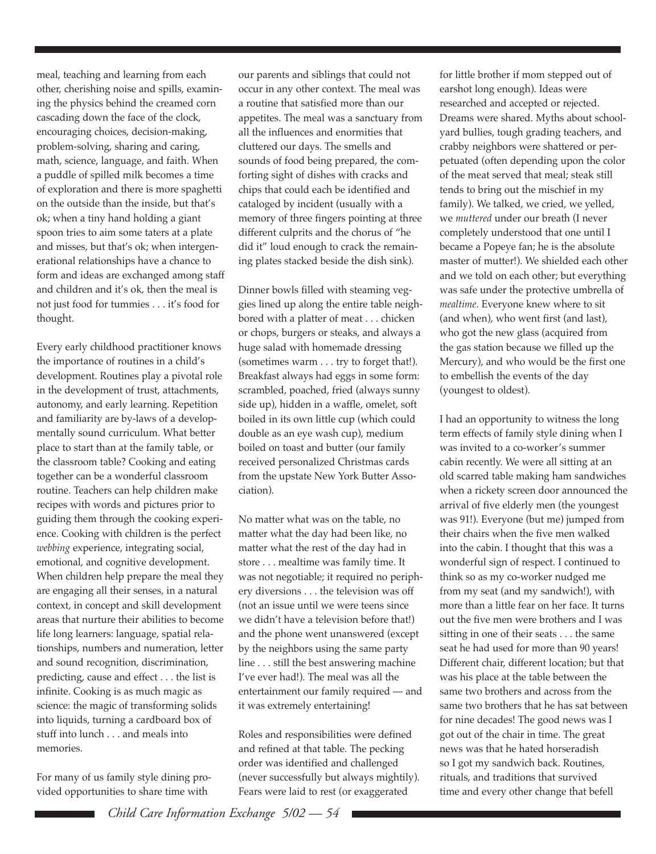meal, teaching and learning from each other, cherishing noise and spills, examining the physics behind the creamed corn cascading down the face of the clock, encouraging choices, decision-making, problem-solving, sharing and caring, math, science, language, and faith. When a puddle of spilled milk becomes a time of exploration and there is more spaghetti on the outside than the inside, but that's ok; when a tiny hand holding a giant spoon tries to aim some taters at a plate and misses, but that's ok; when intergenerational relationships have a chance to form and ideas are exchanged among staff and children and it's ok, then the meal is not just food for tummies . . . it's food for thought.

Every early childhood practitioner knows the importance of routines in a child's development. Routines play a pivotal role in the development of trust, attachments, autonomy, and early learning. Repetition and familiarity are by-laws of a developmentally sound curriculum. What better place to start than at the family table, or the classroom table? Cooking and eating together can be a wonderful classroom routine. Teachers can help children make recipes with words and pictures prior to guiding them through the cooking experience. Cooking with children is the perfect *webbing* experience, integrating social, emotional, and cognitive development. When children help prepare the meal they are engaging all their senses, in a natural context, in concept and skill development areas that nurture their abilities to become life long learners: language, spatial relationships, numbers and numeration, letter and sound recognition, discrimination, predicting, cause and effect . . . the list is infinite. Cooking is as much magic as science: the magic of transforming solids into liquids, turning a cardboard box of stuff into lunch . . . and meals into memories.

For many of us family style dining provided opportunities to share time with

our parents and siblings that could not occur in any other context. The meal was a routine that satisfied more than our appetites. The meal was a sanctuary from all the influences and enormities that cluttered our days. The smells and sounds of food being prepared, the comforting sight of dishes with cracks and chips that could each be identified and cataloged by incident (usually with a memory of three fingers pointing at three different culprits and the chorus of "he did it" loud enough to crack the remaining plates stacked beside the dish sink).

Dinner bowls filled with steaming veggies lined up along the entire table neighbored with a platter of meat . . . chicken or chops, burgers or steaks, and always a huge salad with homemade dressing (sometimes warm . . . try to forget that!). Breakfast always had eggs in some form: scrambled, poached, fried (always sunny side up), hidden in a waffle, omelet, soft boiled in its own little cup (which could double as an eye wash cup), medium boiled on toast and butter (our family received personalized Christmas cards from the upstate New York Butter Association).

No matter what was on the table, no matter what the day had been like, no matter what the rest of the day had in store . . . mealtime was family time. It was not negotiable; it required no periphery diversions . . . the television was off (not an issue until we were teens since we didn't have a television before that!) and the phone went unanswered (except by the neighbors using the same party line . . . still the best answering machine I've ever had!). The meal was all the entertainment our family required — and it was extremely entertaining!

Roles and responsibilities were defined and refined at that table. The pecking order was identified and challenged (never successfully but always mightily). Fears were laid to rest (or exaggerated

for little brother if mom stepped out of earshot long enough). Ideas were researched and accepted or rejected. Dreams were shared. Myths about schoolyard bullies, tough grading teachers, and crabby neighbors were shattered or perpetuated (often depending upon the color of the meat served that meal; steak still tends to bring out the mischief in my family). We talked, we cried, we yelled, we *muttered* under our breath (I never completely understood that one until I became a Popeye fan; he is the absolute master of mutter!). We shielded each other and we told on each other; but everything was safe under the protective umbrella of *mealtime*. Everyone knew where to sit (and when), who went first (and last), who got the new glass (acquired from the gas station because we filled up the Mercury), and who would be the first one to embellish the events of the day (youngest to oldest).

I had an opportunity to witness the long term effects of family style dining when I was invited to a co-worker's summer cabin recently. We were all sitting at an old scarred table making ham sandwiches when a rickety screen door announced the arrival of five elderly men (the youngest was 91!). Everyone (but me) jumped from their chairs when the five men walked into the cabin. I thought that this was a wonderful sign of respect. I continued to think so as my co-worker nudged me from my seat (and my sandwich!), with more than a little fear on her face. It turns out the five men were brothers and I was sitting in one of their seats . . . the same seat he had used for more than 90 years! Different chair, different location; but that was his place at the table between the same two brothers and across from the same two brothers that he has sat between for nine decades! The good news was I got out of the chair in time. The great news was that he hated horseradish so I got my sandwich back. Routines, rituals, and traditions that survived time and every other change that befell